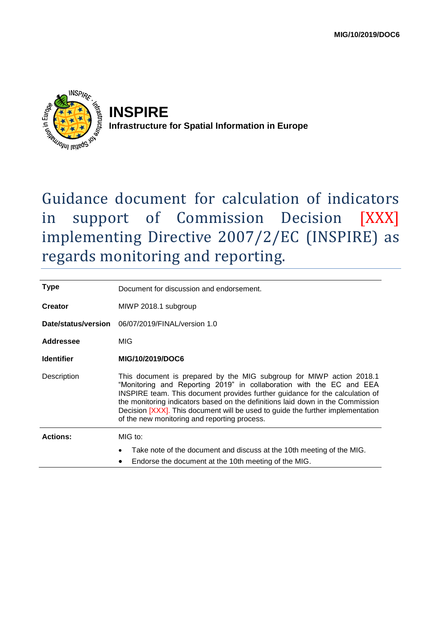

**INSPIRE Infrastructure for Spatial Information in Europe**

# Guidance document for calculation of indicators in support of Commission Decision [XXX] implementing Directive 2007/2/EC (INSPIRE) as regards monitoring and reporting.

| <b>Type</b>       | Document for discussion and endorsement.                                                                                                                                                                                                                                                                                                                                                                                                         |
|-------------------|--------------------------------------------------------------------------------------------------------------------------------------------------------------------------------------------------------------------------------------------------------------------------------------------------------------------------------------------------------------------------------------------------------------------------------------------------|
| <b>Creator</b>    | MIWP 2018.1 subgroup                                                                                                                                                                                                                                                                                                                                                                                                                             |
|                   | Date/status/version 06/07/2019/FINAL/version 1.0                                                                                                                                                                                                                                                                                                                                                                                                 |
| Addressee         | MIG                                                                                                                                                                                                                                                                                                                                                                                                                                              |
| <b>Identifier</b> | MIG/10/2019/DOC6                                                                                                                                                                                                                                                                                                                                                                                                                                 |
| Description       | This document is prepared by the MIG subgroup for MIWP action 2018.1<br>"Monitoring and Reporting 2019" in collaboration with the EC and EEA<br>INSPIRE team. This document provides further guidance for the calculation of<br>the monitoring indicators based on the definitions laid down in the Commission<br>Decision [XXX]. This document will be used to guide the further implementation<br>of the new monitoring and reporting process. |
| <b>Actions:</b>   | $MIG$ to:                                                                                                                                                                                                                                                                                                                                                                                                                                        |
|                   | Take note of the document and discuss at the 10th meeting of the MIG.<br>Endorse the document at the 10th meeting of the MIG.<br>٠                                                                                                                                                                                                                                                                                                               |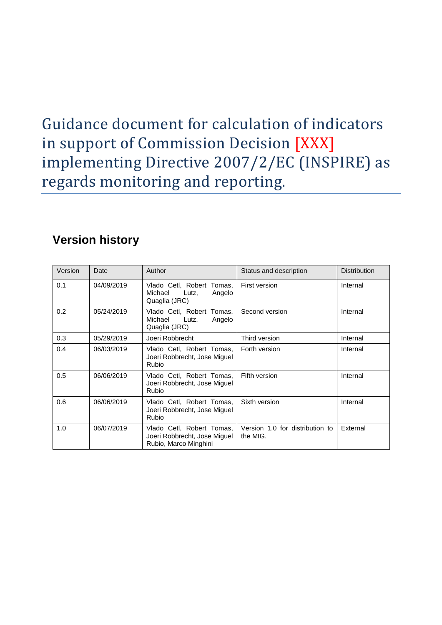# Guidance document for calculation of indicators in support of Commission Decision [XXX] implementing Directive 2007/2/EC (INSPIRE) as regards monitoring and reporting.

## **Version history**

| Version | Date       | Author                                                                             | Status and description                      | <b>Distribution</b> |
|---------|------------|------------------------------------------------------------------------------------|---------------------------------------------|---------------------|
| 0.1     | 04/09/2019 | Vlado Cetl, Robert<br>Tomas,<br>Michael<br>Angelo<br>Lutz,<br>Quaglia (JRC)        | <b>First version</b>                        | Internal            |
| 0.2     | 05/24/2019 | Vlado Cetl, Robert Tomas,<br>Michael<br>Angelo<br>Lutz,<br>Quaglia (JRC)           | Second version                              | Internal            |
| 0.3     | 05/29/2019 | Joeri Robbrecht                                                                    | Third version                               | Internal            |
| 0.4     | 06/03/2019 | Vlado Cetl, Robert Tomas,<br>Joeri Robbrecht, Jose Miguel<br><b>Rubio</b>          | Forth version                               | Internal            |
| 0.5     | 06/06/2019 | Vlado Cetl, Robert Tomas,<br>Joeri Robbrecht, Jose Miquel<br><b>Rubio</b>          | Fifth version                               | Internal            |
| 0.6     | 06/06/2019 | Vlado Cetl, Robert Tomas,<br>Joeri Robbrecht, Jose Miguel<br><b>Rubio</b>          | Sixth version                               | Internal            |
| 1.0     | 06/07/2019 | Vlado Cetl, Robert Tomas,<br>Joeri Robbrecht, Jose Miguel<br>Rubio, Marco Minghini | Version 1.0 for distribution to<br>the MIG. | External            |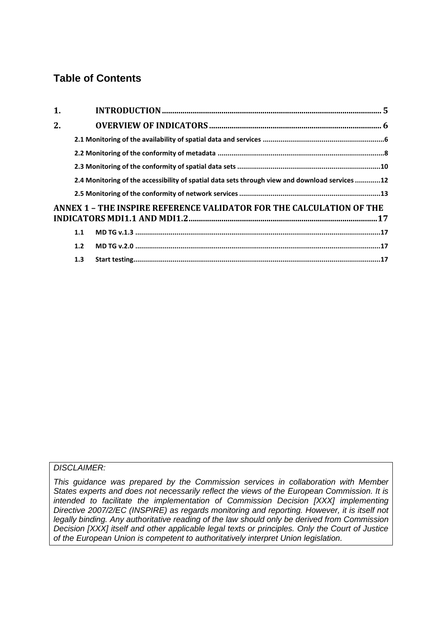### **Table of Contents**

| 1. |     |                                                                                                |  |
|----|-----|------------------------------------------------------------------------------------------------|--|
| 2. |     |                                                                                                |  |
|    |     |                                                                                                |  |
|    |     |                                                                                                |  |
|    |     |                                                                                                |  |
|    |     | 2.4 Monitoring of the accessibility of spatial data sets through view and download services 12 |  |
|    |     |                                                                                                |  |
|    |     | ANNEX 1 - THE INSPIRE REFERENCE VALIDATOR FOR THE CALCULATION OF THE                           |  |
|    |     |                                                                                                |  |
|    | 1.1 |                                                                                                |  |
|    | 1.2 |                                                                                                |  |
|    | 1.3 |                                                                                                |  |

#### *DISCLAIMER:*

*This guidance was prepared by the Commission services in collaboration with Member States experts and does not necessarily reflect the views of the European Commission. It is intended to facilitate the implementation of Commission Decision [XXX] implementing Directive 2007/2/EC (INSPIRE) as regards monitoring and reporting. However, it is itself not legally binding. Any authoritative reading of the law should only be derived from Commission Decision [XXX] itself and other applicable legal texts or principles. Only the Court of Justice of the European Union is competent to authoritatively interpret Union legislation.*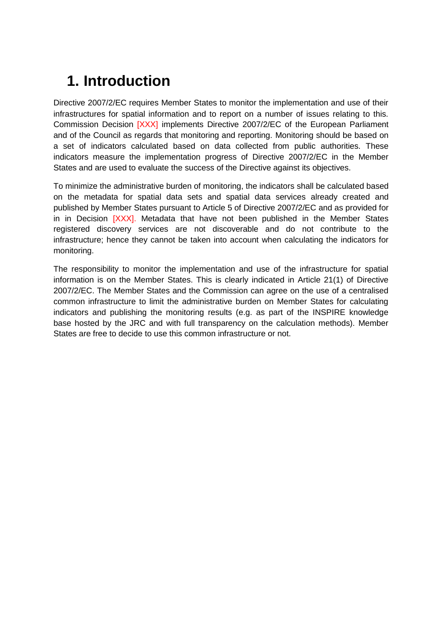## <span id="page-4-0"></span>**1. Introduction**

Directive 2007/2/EC requires Member States to monitor the implementation and use of their infrastructures for spatial information and to report on a number of issues relating to this. Commission Decision [XXX] implements Directive 2007/2/EC of the European Parliament and of the Council as regards that monitoring and reporting. Monitoring should be based on a set of indicators calculated based on data collected from public authorities. These indicators measure the implementation progress of Directive 2007/2/EC in the Member States and are used to evaluate the success of the Directive against its objectives.

To minimize the administrative burden of monitoring, the indicators shall be calculated based on the metadata for spatial data sets and spatial data services already created and published by Member States pursuant to Article 5 of Directive 2007/2/EC and as provided for in in Decision [XXX]. Metadata that have not been published in the Member States registered discovery services are not discoverable and do not contribute to the infrastructure; hence they cannot be taken into account when calculating the indicators for monitoring.

The responsibility to monitor the implementation and use of the infrastructure for spatial information is on the Member States. This is clearly indicated in Article 21(1) of Directive 2007/2/EC. The Member States and the Commission can agree on the use of a centralised common infrastructure to limit the administrative burden on Member States for calculating indicators and publishing the monitoring results (e.g. as part of the INSPIRE knowledge base hosted by the JRC and with full transparency on the calculation methods). Member States are free to decide to use this common infrastructure or not.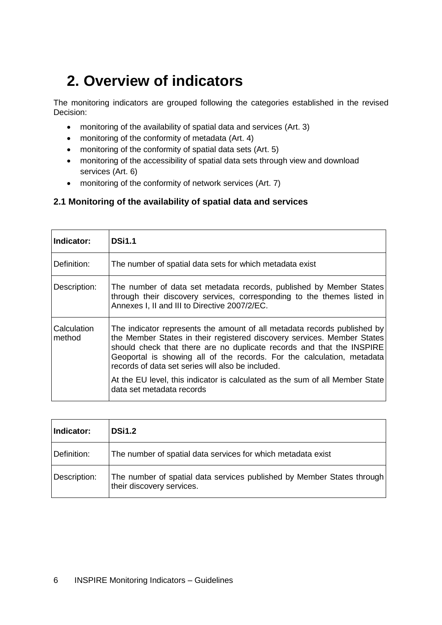## <span id="page-5-0"></span>**2. Overview of indicators**

The monitoring indicators are grouped following the categories established in the revised Decision:

- monitoring of the availability of spatial data and services (Art. 3)
- monitoring of the conformity of metadata (Art. 4)
- monitoring of the conformity of spatial data sets (Art. 5)
- monitoring of the accessibility of spatial data sets through view and download services (Art. 6)
- monitoring of the conformity of network services (Art. 7)

### <span id="page-5-1"></span>**2.1 Monitoring of the availability of spatial data and services**

| Indicator:            | <b>DSi1.1</b>                                                                                                                                                                                                                                                                                                                                                                                                                                                            |
|-----------------------|--------------------------------------------------------------------------------------------------------------------------------------------------------------------------------------------------------------------------------------------------------------------------------------------------------------------------------------------------------------------------------------------------------------------------------------------------------------------------|
| Definition:           | The number of spatial data sets for which metadata exist                                                                                                                                                                                                                                                                                                                                                                                                                 |
| Description:          | The number of data set metadata records, published by Member States<br>through their discovery services, corresponding to the themes listed in<br>Annexes I, II and III to Directive 2007/2/EC.                                                                                                                                                                                                                                                                          |
| Calculation<br>method | The indicator represents the amount of all metadata records published by<br>the Member States in their registered discovery services. Member States<br>should check that there are no duplicate records and that the INSPIRE<br>Geoportal is showing all of the records. For the calculation, metadata<br>records of data set series will also be included.<br>At the EU level, this indicator is calculated as the sum of all Member State<br>data set metadata records |

| Indicator:   | <b>DSi1.2</b>                                                                                       |
|--------------|-----------------------------------------------------------------------------------------------------|
| Definition:  | The number of spatial data services for which metadata exist                                        |
| Description: | The number of spatial data services published by Member States through<br>their discovery services. |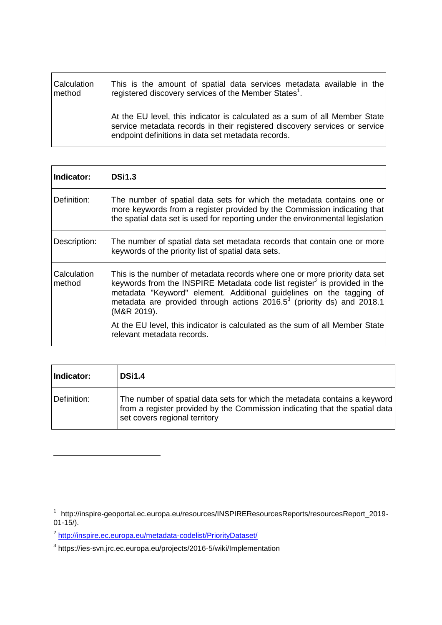| Calculation | This is the amount of spatial data services metadata available in the                                                                                                                                          |
|-------------|----------------------------------------------------------------------------------------------------------------------------------------------------------------------------------------------------------------|
| method      | registered discovery services of the Member States <sup>1</sup> .                                                                                                                                              |
|             | At the EU level, this indicator is calculated as a sum of all Member State<br>service metadata records in their registered discovery services or service<br>endpoint definitions in data set metadata records. |

| Indicator:            | <b>DSi1.3</b>                                                                                                                                                                                                                                                                                                                                                                                                                                          |
|-----------------------|--------------------------------------------------------------------------------------------------------------------------------------------------------------------------------------------------------------------------------------------------------------------------------------------------------------------------------------------------------------------------------------------------------------------------------------------------------|
| Definition:           | The number of spatial data sets for which the metadata contains one or<br>more keywords from a register provided by the Commission indicating that<br>the spatial data set is used for reporting under the environmental legislation                                                                                                                                                                                                                   |
| Description:          | The number of spatial data set metadata records that contain one or more<br>keywords of the priority list of spatial data sets.                                                                                                                                                                                                                                                                                                                        |
| Calculation<br>method | This is the number of metadata records where one or more priority data set<br>keywords from the INSPIRE Metadata code list register <sup>2</sup> is provided in the<br>metadata "Keyword" element. Additional guidelines on the tagging of<br>metadata are provided through actions $2016.5^3$ (priority ds) and $2018.1$<br>(M&R 2019).<br>At the EU level, this indicator is calculated as the sum of all Member State<br>relevant metadata records. |

| Indicator:  | <b>DSi1.4</b>                                                                                                                                                                             |
|-------------|-------------------------------------------------------------------------------------------------------------------------------------------------------------------------------------------|
| Definition: | The number of spatial data sets for which the metadata contains a keyword<br>from a register provided by the Commission indicating that the spatial data<br>set covers regional territory |

 $\overline{a}$ 

<sup>&</sup>lt;sup>1</sup> http://inspire-geoportal.ec.europa.eu/resources/INSPIREResourcesReports/resourcesReport\_2019-01-15/).

<sup>&</sup>lt;sup>2</sup> <http://inspire.ec.europa.eu/metadata-codelist/PriorityDataset/>

<sup>&</sup>lt;sup>3</sup> https://ies-svn.jrc.ec.europa.eu/projects/2016-5/wiki/Implementation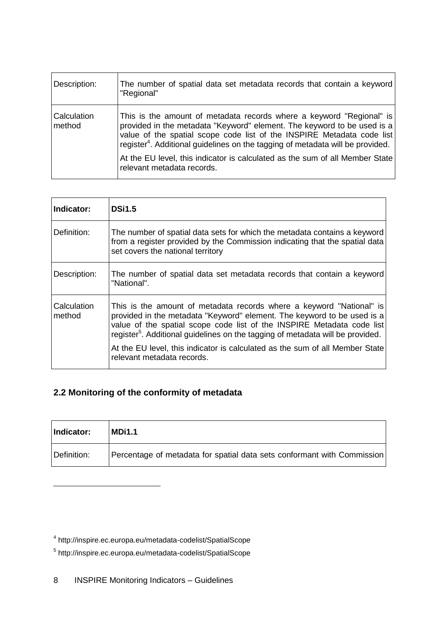| Description:                 | The number of spatial data set metadata records that contain a keyword<br>"Regional"                                                                                                                                                                                                                                    |
|------------------------------|-------------------------------------------------------------------------------------------------------------------------------------------------------------------------------------------------------------------------------------------------------------------------------------------------------------------------|
| <b>Calculation</b><br>method | This is the amount of metadata records where a keyword "Regional" is<br>provided in the metadata "Keyword" element. The keyword to be used is a<br>value of the spatial scope code list of the INSPIRE Metadata code list<br>register <sup>4</sup> . Additional guidelines on the tagging of metadata will be provided. |
|                              | At the EU level, this indicator is calculated as the sum of all Member State<br>relevant metadata records.                                                                                                                                                                                                              |

| Indicator:            | <b>DSi1.5</b>                                                                                                                                                                                                                                                                                                                                                                                                                         |
|-----------------------|---------------------------------------------------------------------------------------------------------------------------------------------------------------------------------------------------------------------------------------------------------------------------------------------------------------------------------------------------------------------------------------------------------------------------------------|
| Definition:           | The number of spatial data sets for which the metadata contains a keyword<br>from a register provided by the Commission indicating that the spatial data<br>set covers the national territory                                                                                                                                                                                                                                         |
| Description:          | The number of spatial data set metadata records that contain a keyword<br>"National".                                                                                                                                                                                                                                                                                                                                                 |
| Calculation<br>method | This is the amount of metadata records where a keyword "National" is<br>provided in the metadata "Keyword" element. The keyword to be used is a<br>value of the spatial scope code list of the INSPIRE Metadata code list<br>register <sup>5</sup> . Additional guidelines on the tagging of metadata will be provided.<br>At the EU level, this indicator is calculated as the sum of all Member State<br>relevant metadata records. |

## <span id="page-7-0"></span>**2.2 Monitoring of the conformity of metadata**

| Indicator:  | <b>MDi1.1</b>                                                           |
|-------------|-------------------------------------------------------------------------|
| Definition: | Percentage of metadata for spatial data sets conformant with Commission |

 $\overline{a}$ 

<sup>4</sup> http://inspire.ec.europa.eu/metadata-codelist/SpatialScope

<sup>5</sup> http://inspire.ec.europa.eu/metadata-codelist/SpatialScope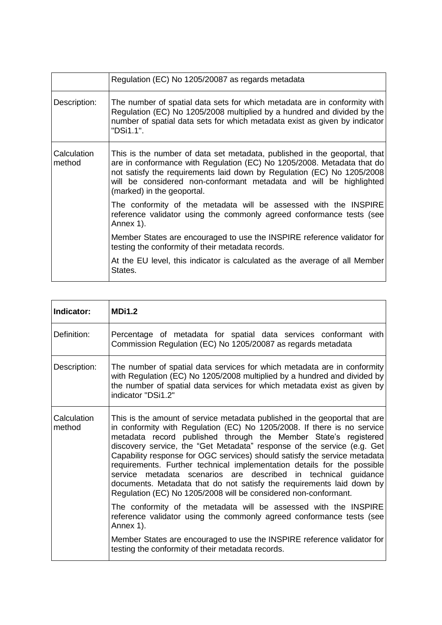|                       | Regulation (EC) No 1205/20087 as regards metadata                                                                                                                                                                                                                                                                                 |
|-----------------------|-----------------------------------------------------------------------------------------------------------------------------------------------------------------------------------------------------------------------------------------------------------------------------------------------------------------------------------|
| Description:          | The number of spatial data sets for which metadata are in conformity with<br>Regulation (EC) No 1205/2008 multiplied by a hundred and divided by the<br>number of spatial data sets for which metadata exist as given by indicator<br>"DSi1.1".                                                                                   |
| Calculation<br>method | This is the number of data set metadata, published in the geoportal, that<br>are in conformance with Regulation (EC) No 1205/2008. Metadata that do<br>not satisfy the requirements laid down by Regulation (EC) No 1205/2008<br>will be considered non-conformant metadata and will be highlighted<br>(marked) in the geoportal. |
|                       | The conformity of the metadata will be assessed with the INSPIRE<br>reference validator using the commonly agreed conformance tests (see<br>Annex 1).                                                                                                                                                                             |
|                       | Member States are encouraged to use the INSPIRE reference validator for<br>testing the conformity of their metadata records.                                                                                                                                                                                                      |
|                       | At the EU level, this indicator is calculated as the average of all Member<br>States.                                                                                                                                                                                                                                             |

| Indicator:            | <b>MDi1.2</b>                                                                                                                                                                                                                                                                                                                                                                                                                                                                                                                                                                                                                                                                                                                                 |
|-----------------------|-----------------------------------------------------------------------------------------------------------------------------------------------------------------------------------------------------------------------------------------------------------------------------------------------------------------------------------------------------------------------------------------------------------------------------------------------------------------------------------------------------------------------------------------------------------------------------------------------------------------------------------------------------------------------------------------------------------------------------------------------|
| Definition:           | Percentage of metadata for spatial data services conformant with<br>Commission Regulation (EC) No 1205/20087 as regards metadata                                                                                                                                                                                                                                                                                                                                                                                                                                                                                                                                                                                                              |
| Description:          | The number of spatial data services for which metadata are in conformity<br>with Regulation (EC) No 1205/2008 multiplied by a hundred and divided by<br>the number of spatial data services for which metadata exist as given by<br>indicator "DSi1.2"                                                                                                                                                                                                                                                                                                                                                                                                                                                                                        |
| Calculation<br>method | This is the amount of service metadata published in the geoportal that are<br>in conformity with Regulation (EC) No 1205/2008. If there is no service<br>metadata record published through the Member State's registered<br>discovery service, the "Get Metadata" response of the service (e.g. Get<br>Capability response for OGC services) should satisfy the service metadata<br>requirements. Further technical implementation details for the possible<br>service metadata scenarios are described in technical guidance<br>documents. Metadata that do not satisfy the requirements laid down by<br>Regulation (EC) No 1205/2008 will be considered non-conformant.<br>The conformity of the metadata will be assessed with the INSPIRE |
|                       | reference validator using the commonly agreed conformance tests (see<br>Annex 1).                                                                                                                                                                                                                                                                                                                                                                                                                                                                                                                                                                                                                                                             |
|                       | Member States are encouraged to use the INSPIRE reference validator for<br>testing the conformity of their metadata records.                                                                                                                                                                                                                                                                                                                                                                                                                                                                                                                                                                                                                  |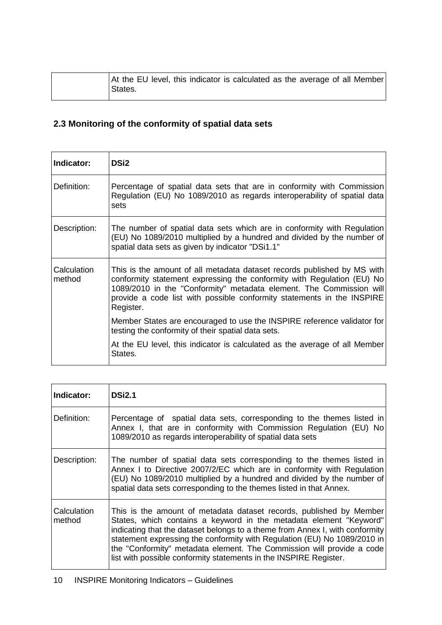| At the EU level, this indicator is calculated as the average of all Member |  |  |  |  |
|----------------------------------------------------------------------------|--|--|--|--|
| States.                                                                    |  |  |  |  |

### <span id="page-9-0"></span>**2.3 Monitoring of the conformity of spatial data sets**

| Indicator:            | <b>DSi2</b>                                                                                                                                                                                                                                                                                                     |
|-----------------------|-----------------------------------------------------------------------------------------------------------------------------------------------------------------------------------------------------------------------------------------------------------------------------------------------------------------|
| Definition:           | Percentage of spatial data sets that are in conformity with Commission<br>Regulation (EU) No 1089/2010 as regards interoperability of spatial data<br>sets                                                                                                                                                      |
| Description:          | The number of spatial data sets which are in conformity with Regulation<br>(EU) No 1089/2010 multiplied by a hundred and divided by the number of<br>spatial data sets as given by indicator "DSi1.1"                                                                                                           |
| Calculation<br>method | This is the amount of all metadata dataset records published by MS with<br>conformity statement expressing the conformity with Regulation (EU) No<br>1089/2010 in the "Conformity" metadata element. The Commission will<br>provide a code list with possible conformity statements in the INSPIRE<br>Register. |
|                       | Member States are encouraged to use the INSPIRE reference validator for<br>testing the conformity of their spatial data sets.                                                                                                                                                                                   |
|                       | At the EU level, this indicator is calculated as the average of all Member<br>States.                                                                                                                                                                                                                           |

| Indicator:            | <b>DSi2.1</b>                                                                                                                                                                                                                                                                                                                                                                                                                                       |
|-----------------------|-----------------------------------------------------------------------------------------------------------------------------------------------------------------------------------------------------------------------------------------------------------------------------------------------------------------------------------------------------------------------------------------------------------------------------------------------------|
| Definition:           | Percentage of spatial data sets, corresponding to the themes listed in<br>Annex I, that are in conformity with Commission Regulation (EU) No<br>1089/2010 as regards interoperability of spatial data sets                                                                                                                                                                                                                                          |
| Description:          | The number of spatial data sets corresponding to the themes listed in<br>Annex I to Directive 2007/2/EC which are in conformity with Regulation<br>(EU) No 1089/2010 multiplied by a hundred and divided by the number of<br>spatial data sets corresponding to the themes listed in that Annex.                                                                                                                                                    |
| Calculation<br>method | This is the amount of metadata dataset records, published by Member<br>States, which contains a keyword in the metadata element "Keyword"<br>indicating that the dataset belongs to a theme from Annex I, with conformity<br>statement expressing the conformity with Regulation (EU) No 1089/2010 in<br>the "Conformity" metadata element. The Commission will provide a code<br>list with possible conformity statements in the INSPIRE Register. |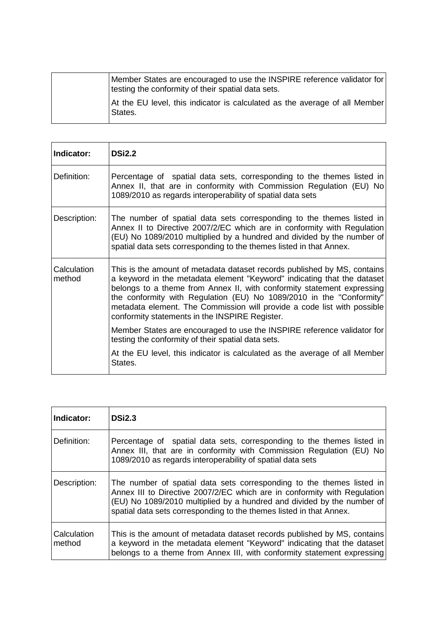| Member States are encouraged to use the INSPIRE reference validator for<br>testing the conformity of their spatial data sets. |
|-------------------------------------------------------------------------------------------------------------------------------|
| At the EU level, this indicator is calculated as the average of all Member<br>States.                                         |

| Indicator:            | <b>DSi2.2</b>                                                                                                                                                                                                                                                                                                                                                                                                                      |
|-----------------------|------------------------------------------------------------------------------------------------------------------------------------------------------------------------------------------------------------------------------------------------------------------------------------------------------------------------------------------------------------------------------------------------------------------------------------|
| Definition:           | Percentage of spatial data sets, corresponding to the themes listed in<br>Annex II, that are in conformity with Commission Regulation (EU) No<br>1089/2010 as regards interoperability of spatial data sets                                                                                                                                                                                                                        |
| Description:          | The number of spatial data sets corresponding to the themes listed in<br>Annex II to Directive 2007/2/EC which are in conformity with Regulation<br>(EU) No 1089/2010 multiplied by a hundred and divided by the number of<br>spatial data sets corresponding to the themes listed in that Annex.                                                                                                                                  |
| Calculation<br>method | This is the amount of metadata dataset records published by MS, contains<br>a keyword in the metadata element "Keyword" indicating that the dataset<br>belongs to a theme from Annex II, with conformity statement expressing<br>the conformity with Regulation (EU) No 1089/2010 in the "Conformity"<br>metadata element. The Commission will provide a code list with possible<br>conformity statements in the INSPIRE Register. |
|                       | Member States are encouraged to use the INSPIRE reference validator for<br>testing the conformity of their spatial data sets.                                                                                                                                                                                                                                                                                                      |
|                       | At the EU level, this indicator is calculated as the average of all Member<br>States.                                                                                                                                                                                                                                                                                                                                              |

| Indicator:            | <b>DSi2.3</b>                                                                                                                                                                                                                                                                                      |
|-----------------------|----------------------------------------------------------------------------------------------------------------------------------------------------------------------------------------------------------------------------------------------------------------------------------------------------|
| Definition:           | Percentage of spatial data sets, corresponding to the themes listed in<br>Annex III, that are in conformity with Commission Regulation (EU) No<br>1089/2010 as regards interoperability of spatial data sets                                                                                       |
| Description:          | The number of spatial data sets corresponding to the themes listed in<br>Annex III to Directive 2007/2/EC which are in conformity with Regulation<br>(EU) No 1089/2010 multiplied by a hundred and divided by the number of<br>spatial data sets corresponding to the themes listed in that Annex. |
| Calculation<br>method | This is the amount of metadata dataset records published by MS, contains<br>a keyword in the metadata element "Keyword" indicating that the dataset<br>belongs to a theme from Annex III, with conformity statement expressing                                                                     |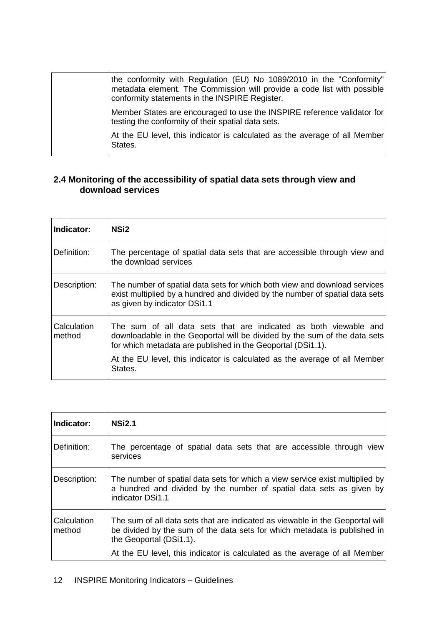| the conformity with Regulation (EU) No 1089/2010 in the "Conformity"<br>metadata element. The Commission will provide a code list with possible<br>conformity statements in the INSPIRE Register. |
|---------------------------------------------------------------------------------------------------------------------------------------------------------------------------------------------------|
| Member States are encouraged to use the INSPIRE reference validator for<br>testing the conformity of their spatial data sets.                                                                     |
| At the EU level, this indicator is calculated as the average of all Member<br>States.                                                                                                             |

#### <span id="page-11-0"></span>**2.4 Monitoring of the accessibility of spatial data sets through view and download services**

| Indicator:            | NSi <sub>2</sub>                                                                                                                                                                                             |
|-----------------------|--------------------------------------------------------------------------------------------------------------------------------------------------------------------------------------------------------------|
| Definition:           | The percentage of spatial data sets that are accessible through view and<br>the download services                                                                                                            |
| Description:          | The number of spatial data sets for which both view and download services<br>exist multiplied by a hundred and divided by the number of spatial data sets<br>as given by indicator DSi1.1                    |
| Calculation<br>method | The sum of all data sets that are indicated as both viewable and<br>downloadable in the Geoportal will be divided by the sum of the data sets<br>for which metadata are published in the Geoportal (DSi1.1). |
|                       | At the EU level, this indicator is calculated as the average of all Member<br>States.                                                                                                                        |

| Indicator:            | <b>NSi2.1</b>                                                                                                                                                                         |
|-----------------------|---------------------------------------------------------------------------------------------------------------------------------------------------------------------------------------|
| Definition:           | The percentage of spatial data sets that are accessible through view<br>services                                                                                                      |
| Description:          | The number of spatial data sets for which a view service exist multiplied by<br>a hundred and divided by the number of spatial data sets as given by<br>indicator DSi1.1              |
| Calculation<br>method | The sum of all data sets that are indicated as viewable in the Geoportal will<br>be divided by the sum of the data sets for which metadata is published in<br>the Geoportal (DSi1.1). |
|                       | At the EU level, this indicator is calculated as the average of all Member                                                                                                            |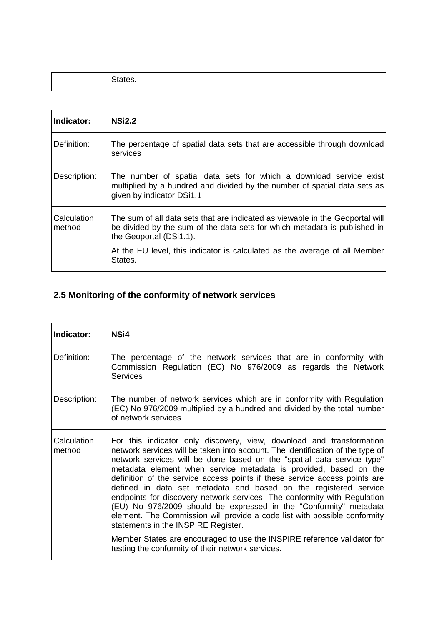| -<br>. . |
|----------|
|          |

| Indicator:            | <b>NSi2.2</b>                                                                                                                                                                         |
|-----------------------|---------------------------------------------------------------------------------------------------------------------------------------------------------------------------------------|
| Definition:           | The percentage of spatial data sets that are accessible through download<br>services                                                                                                  |
| Description:          | The number of spatial data sets for which a download service exist<br>multiplied by a hundred and divided by the number of spatial data sets as<br>given by indicator DSi1.1          |
| Calculation<br>method | The sum of all data sets that are indicated as viewable in the Geoportal will<br>be divided by the sum of the data sets for which metadata is published in<br>the Geoportal (DSi1.1). |
|                       | At the EU level, this indicator is calculated as the average of all Member<br>States.                                                                                                 |

## <span id="page-12-0"></span>**2.5 Monitoring of the conformity of network services**

| Indicator:            | NS <sub>i4</sub>                                                                                                                                                                                                                                                                                                                                                                                                                                                                                                                                                                                                                                                                                                                                                                                                                                            |
|-----------------------|-------------------------------------------------------------------------------------------------------------------------------------------------------------------------------------------------------------------------------------------------------------------------------------------------------------------------------------------------------------------------------------------------------------------------------------------------------------------------------------------------------------------------------------------------------------------------------------------------------------------------------------------------------------------------------------------------------------------------------------------------------------------------------------------------------------------------------------------------------------|
| Definition:           | The percentage of the network services that are in conformity with<br>Commission Regulation (EC) No 976/2009 as regards the Network<br><b>Services</b>                                                                                                                                                                                                                                                                                                                                                                                                                                                                                                                                                                                                                                                                                                      |
| Description:          | The number of network services which are in conformity with Regulation<br>(EC) No 976/2009 multiplied by a hundred and divided by the total number<br>of network services                                                                                                                                                                                                                                                                                                                                                                                                                                                                                                                                                                                                                                                                                   |
| Calculation<br>method | For this indicator only discovery, view, download and transformation<br>network services will be taken into account. The identification of the type of<br>network services will be done based on the "spatial data service type"<br>metadata element when service metadata is provided, based on the<br>definition of the service access points if these service access points are<br>defined in data set metadata and based on the registered service<br>endpoints for discovery network services. The conformity with Regulation<br>(EU) No 976/2009 should be expressed in the "Conformity" metadata<br>element. The Commission will provide a code list with possible conformity<br>statements in the INSPIRE Register.<br>Member States are encouraged to use the INSPIRE reference validator for<br>testing the conformity of their network services. |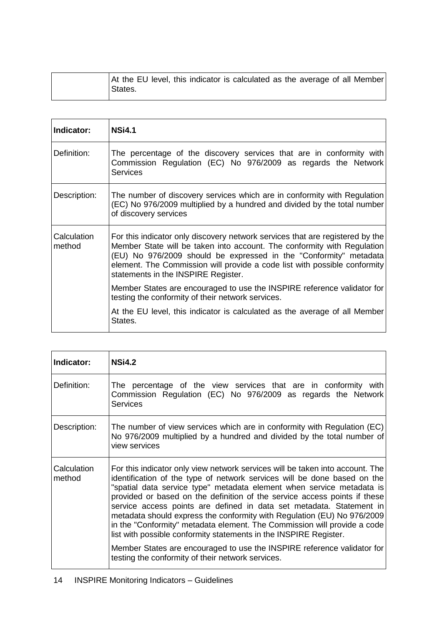| At the EU level, this indicator is calculated as the average of all Member |  |  |  |
|----------------------------------------------------------------------------|--|--|--|
| States.                                                                    |  |  |  |

| Indicator:            | <b>NSi4.1</b>                                                                                                                                                                                                                                                                                                                                     |
|-----------------------|---------------------------------------------------------------------------------------------------------------------------------------------------------------------------------------------------------------------------------------------------------------------------------------------------------------------------------------------------|
| Definition:           | The percentage of the discovery services that are in conformity with<br>Commission Regulation (EC) No 976/2009 as regards the Network<br><b>Services</b>                                                                                                                                                                                          |
| Description:          | The number of discovery services which are in conformity with Regulation<br>(EC) No 976/2009 multiplied by a hundred and divided by the total number<br>of discovery services                                                                                                                                                                     |
| Calculation<br>method | For this indicator only discovery network services that are registered by the<br>Member State will be taken into account. The conformity with Regulation<br>(EU) No 976/2009 should be expressed in the "Conformity" metadata<br>element. The Commission will provide a code list with possible conformity<br>statements in the INSPIRE Register. |
|                       | Member States are encouraged to use the INSPIRE reference validator for<br>testing the conformity of their network services.                                                                                                                                                                                                                      |
|                       | At the EU level, this indicator is calculated as the average of all Member<br>States.                                                                                                                                                                                                                                                             |

| Indicator:            | <b>NSi4.2</b>                                                                                                                                                                                                                                                                                                                                                                                                                                                                                                                                                                                                                                                                                                                                       |
|-----------------------|-----------------------------------------------------------------------------------------------------------------------------------------------------------------------------------------------------------------------------------------------------------------------------------------------------------------------------------------------------------------------------------------------------------------------------------------------------------------------------------------------------------------------------------------------------------------------------------------------------------------------------------------------------------------------------------------------------------------------------------------------------|
| Definition:           | The percentage of the view services that are in conformity with<br>Commission Regulation (EC) No 976/2009 as regards the Network<br><b>Services</b>                                                                                                                                                                                                                                                                                                                                                                                                                                                                                                                                                                                                 |
| Description:          | The number of view services which are in conformity with Regulation (EC)<br>No 976/2009 multiplied by a hundred and divided by the total number of<br>view services                                                                                                                                                                                                                                                                                                                                                                                                                                                                                                                                                                                 |
| Calculation<br>method | For this indicator only view network services will be taken into account. The<br>identification of the type of network services will be done based on the<br>"spatial data service type" metadata element when service metadata is<br>provided or based on the definition of the service access points if these<br>service access points are defined in data set metadata. Statement in<br>metadata should express the conformity with Regulation (EU) No 976/2009<br>in the "Conformity" metadata element. The Commission will provide a code<br>list with possible conformity statements in the INSPIRE Register.<br>Member States are encouraged to use the INSPIRE reference validator for<br>testing the conformity of their network services. |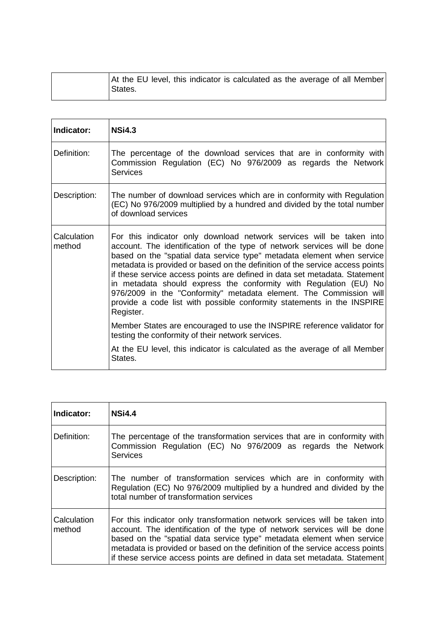| At the EU level, this indicator is calculated as the average of all Member<br>States. |
|---------------------------------------------------------------------------------------|
|---------------------------------------------------------------------------------------|

| Indicator:            | <b>NSi4.3</b>                                                                                                                                                                                                                                                                                                                                                                                                                                                                                                                                                                                                              |
|-----------------------|----------------------------------------------------------------------------------------------------------------------------------------------------------------------------------------------------------------------------------------------------------------------------------------------------------------------------------------------------------------------------------------------------------------------------------------------------------------------------------------------------------------------------------------------------------------------------------------------------------------------------|
| Definition:           | The percentage of the download services that are in conformity with<br>Commission Regulation (EC) No 976/2009 as regards the Network<br><b>Services</b>                                                                                                                                                                                                                                                                                                                                                                                                                                                                    |
| Description:          | The number of download services which are in conformity with Regulation<br>(EC) No 976/2009 multiplied by a hundred and divided by the total number<br>of download services                                                                                                                                                                                                                                                                                                                                                                                                                                                |
| Calculation<br>method | For this indicator only download network services will be taken into<br>account. The identification of the type of network services will be done<br>based on the "spatial data service type" metadata element when service<br>metadata is provided or based on the definition of the service access points<br>if these service access points are defined in data set metadata. Statement<br>in metadata should express the conformity with Regulation (EU) No<br>976/2009 in the "Conformity" metadata element. The Commission will<br>provide a code list with possible conformity statements in the INSPIRE<br>Register. |
|                       | Member States are encouraged to use the INSPIRE reference validator for<br>testing the conformity of their network services.                                                                                                                                                                                                                                                                                                                                                                                                                                                                                               |
|                       | At the EU level, this indicator is calculated as the average of all Member<br>States.                                                                                                                                                                                                                                                                                                                                                                                                                                                                                                                                      |

| Indicator:            | <b>NSi4.4</b>                                                                                                                                                                                                                                                                                                                                                                                  |
|-----------------------|------------------------------------------------------------------------------------------------------------------------------------------------------------------------------------------------------------------------------------------------------------------------------------------------------------------------------------------------------------------------------------------------|
| Definition:           | The percentage of the transformation services that are in conformity with<br>Commission Regulation (EC) No 976/2009 as regards the Network<br><b>Services</b>                                                                                                                                                                                                                                  |
| Description:          | The number of transformation services which are in conformity with<br>Regulation (EC) No 976/2009 multiplied by a hundred and divided by the<br>total number of transformation services                                                                                                                                                                                                        |
| Calculation<br>method | For this indicator only transformation network services will be taken into<br>account. The identification of the type of network services will be done<br>based on the "spatial data service type" metadata element when service<br>metadata is provided or based on the definition of the service access points<br>if these service access points are defined in data set metadata. Statement |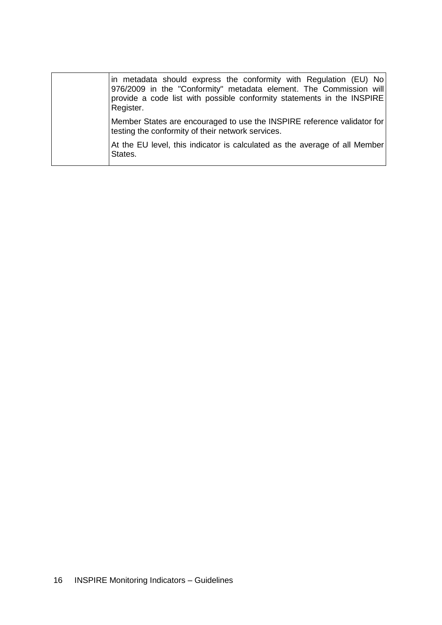| in metadata should express the conformity with Regulation (EU) No<br>976/2009 in the "Conformity" metadata element. The Commission will<br>provide a code list with possible conformity statements in the INSPIRE<br>Register. |
|--------------------------------------------------------------------------------------------------------------------------------------------------------------------------------------------------------------------------------|
| Member States are encouraged to use the INSPIRE reference validator for<br>testing the conformity of their network services.                                                                                                   |
| At the EU level, this indicator is calculated as the average of all Member<br>States.                                                                                                                                          |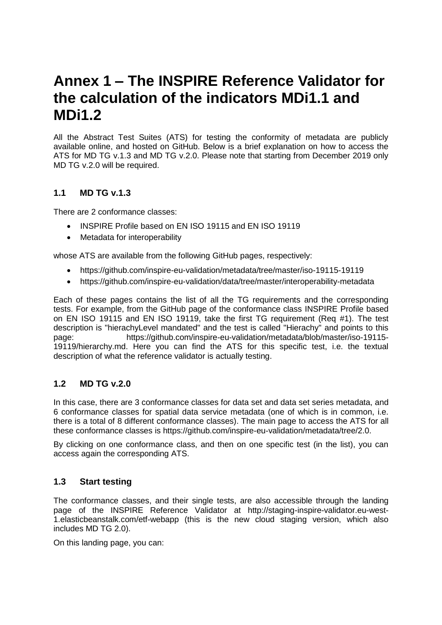## <span id="page-16-0"></span>**Annex 1 – The INSPIRE Reference Validator for the calculation of the indicators MDi1.1 and MDi1.2**

All the Abstract Test Suites (ATS) for testing the conformity of metadata are publicly available online, and hosted on GitHub. Below is a brief explanation on how to access the ATS for MD TG v.1.3 and MD TG v.2.0. Please note that starting from December 2019 only MD TG v.2.0 will be required.

### <span id="page-16-1"></span>**1.1 MD TG v.1.3**

There are 2 conformance classes:

- [INSPIRE Profile based on EN ISO](http://inspire.ec.europa.eu/id/ats/metadata/1.3/iso-19115-19119) 19115 and EN ISO 19119
- Metadata for interoperability

whose ATS are available from the following GitHub pages, respectively:

- https://github.com/inspire-eu-validation/metadata/tree/master/iso-19115-19119
- https://github.com/inspire-eu-validation/data/tree/master/interoperability-metadata

Each of these pages contains the list of all the TG requirements and the corresponding tests. For example, from the GitHub page of the conformance class INSPIRE Profile based on EN ISO 19115 and EN ISO 19119, take the first TG requirement (Req #1). The test description is "hierachyLevel mandated" and the test is called "Hierachy" and points to this page: https://github.com/inspire-eu-validation/metadata/blob/master/iso-19115- 19119/hierarchy.md. Here you can find the ATS for this specific test, i.e. the textual description of what the reference validator is actually testing.

#### <span id="page-16-2"></span>**1.2 MD TG v.2.0**

In this case, there are 3 conformance classes for data set and data set series metadata, and 6 conformance classes for spatial data service metadata (one of which is in common, i.e. there is a total of 8 different conformance classes). The main page to access the ATS for all these conformance classes is [https://github.com/inspire-eu-validation/metadata/tree/2.0.](https://github.com/inspire-eu-validation/metadata/tree/2.0)

By clicking on one conformance class, and then on one specific test (in the list), you can access again the corresponding ATS.

#### <span id="page-16-3"></span>**1.3 Start testing**

The conformance classes, and their single tests, are also accessible through the landing page of the INSPIRE Reference Validator at [http://staging-inspire-validator.eu-west-](http://staging-inspire-validator.eu-west-1.elasticbeanstalk.com/etf-webapp)[1.elasticbeanstalk.com/etf-webapp](http://staging-inspire-validator.eu-west-1.elasticbeanstalk.com/etf-webapp) (this is the new cloud staging version, which also includes MD TG 2.0).

On this landing page, you can: